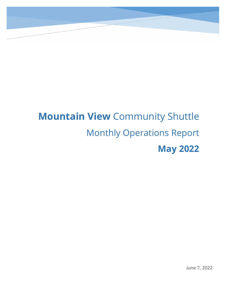# `

# **Mountain View** Community Shuttle Monthly Operations Report **May 2022**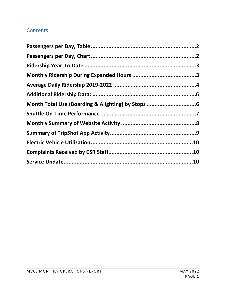### **Contents**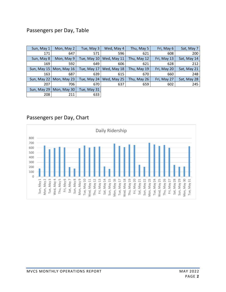#### <span id="page-2-0"></span>Passengers per Day, Table

| Sun, May 1  | Mon, May 2    | Tue, May 3  | Wed, May 4  | Thu, May 5  | Fri, May 6  | Sat, May 7  |
|-------------|---------------|-------------|-------------|-------------|-------------|-------------|
| 171         | 647           | 571         | 596         | 621         | 608         | 200         |
| Sun, May 8  | Mon, May 9    | Tue, May 10 | Wed, May 11 | Thu, May 12 | Fri, May 13 | Sat, May 14 |
| 169         | 592           | 649         | 606         | 621         | 628         | 212         |
| Sun, May 15 | Mon, May $16$ | Tue, May 17 | Wed, May 18 | Thu, May 19 | Fri, May 20 | Sat, May 21 |
| 163         | 687           | 639         | 615         | 670         | 660         | 248         |
| Sun, May 22 | Mon, May 23   | Tue, May 24 | Wed, May 25 | Thu, May 26 | Fri, May 27 | Sat, May 28 |
| 207         | 706           | 670         | 637         | 659         | 602         | 245         |
| Sun, May 29 | Mon, May 30   | Tue, May 31 |             |             |             |             |
| 208         | 211           | 633         |             |             |             |             |

#### <span id="page-2-1"></span>Passengers per Day, Chart

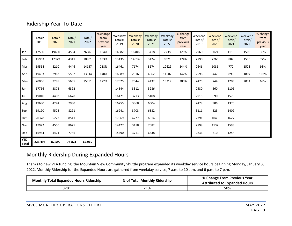#### Ridership Year-To-Date

<span id="page-3-0"></span>

|                            | Total/<br>2019 | Total/<br>2020 | Total/<br>2021 | Total/<br>2022 | % change<br>from<br>previous<br>year | Weekday<br>Totals/<br>2019 | Weekday<br>Totals/<br>2020 | Weekday<br>Totals/<br>2021 | Weekday<br>Totals/<br>2022 | % change<br>from<br>previous<br>year | Weekend<br>Totals/<br>2019 | Weekend<br>Totals/<br>2020 | Weekend<br>Totals/<br>2021 | Weekend<br>Totals/<br>2022 | % change<br>from<br>previous<br>year |
|----------------------------|----------------|----------------|----------------|----------------|--------------------------------------|----------------------------|----------------------------|----------------------------|----------------------------|--------------------------------------|----------------------------|----------------------------|----------------------------|----------------------------|--------------------------------------|
| Jan                        | 17530          | 19430          | 4534           | 9246           | 104%                                 | 14882                      | 16406                      | 3418                       | 7738                       | 126%                                 | 2960                       | 3024                       | 1116                       | 1508                       | 35%                                  |
| Feb                        | 15963          | 17379          | 4311           | 10901          | 153%                                 | 13435                      | 14614                      | 3424                       | 9371                       | 174%                                 | 2790                       | 2765                       | 887                        | 1530                       | 72%                                  |
| Mar                        | 19554          | 8210           | 4446           | 14157          | 218%                                 | 16461                      | 7174                       | 3674                       | 12629                      | 244%                                 | 2646                       | 1036                       | 772                        | 1528                       | 98%                                  |
| Apr                        | 19403          | 2963           | 5552           | 13314          | 140%                                 | 16689                      | 2516                       | 4662                       | 11507                      | 147%                                 | 2596                       | 447                        | 890                        | 1807                       | 103%                                 |
| May                        | 20066          | 3288           | 5635           | 15351          | 172%                                 | 17625                      | 2544                       | 4432                       | 13317                      | 200%                                 | 2475                       | 744                        | 1203                       | 2034                       | 69%                                  |
| Jun                        | 17756          | 3872           | 6392           |                |                                      | 14344                      | 3312                       | 5286                       |                            |                                      | 2580                       | 560                        | 1106                       |                            |                                      |
| Jul                        | 19040          | 4403           | 6678           |                |                                      | 16121                      | 3713                       | 5108                       |                            |                                      | 2915                       | 690                        | 1570                       |                            |                                      |
| Aug                        | 19680          | 4274           | 7980           |                |                                      | 16755                      | 3368                       | 6604                       |                            |                                      | 2479                       | 906                        | 1376                       |                            |                                      |
| Sep                        | 19190          | 4528           | 8291           |                |                                      | 16241                      | 3703                       | 6882                       |                            |                                      | 3111                       | 825                        | 1409                       |                            |                                      |
| Oct                        | 20378          | 5272           | 8541           |                |                                      | 17869                      | 4227                       | 6914                       |                            |                                      | 2391                       | 1045                       | 1627                       |                            |                                      |
| Nov                        | 17972          | 4550           | 8675           |                |                                      | 14427                      | 3418                       | 7082                       |                            |                                      | 2799                       | 1132                       | 1593                       |                            |                                      |
| Dec                        | 16964          | 4421           | 7786           |                |                                      | 14490                      | 3711                       | 6538                       |                            |                                      | 2836                       | 710                        | 1248                       |                            |                                      |
| <b>YTD</b><br><b>Total</b> | 223,496        | 82,590         | 78,821         | 62,969         |                                      |                            |                            |                            |                            |                                      |                            |                            |                            |                            |                                      |

#### Monthly Ridership During Expanded Hours

Thanks to new VTA funding, the Mountain View Community Shuttle program expanded its weekday service hours beginning Monday, January 3, 2022. Monthly Ridership for the Expanded Hours are gathered from weekday service, 7 a.m. to 10 a.m. and 6 p.m. to 7 p.m.

<span id="page-3-1"></span>

| <b>Monthly Total Expanded Hours Ridership</b> | % of Total Monthly Ridership | % Change From Previous Year<br><b>Attributed to Expanded Hours</b> |  |  |
|-----------------------------------------------|------------------------------|--------------------------------------------------------------------|--|--|
| 3281                                          | 21%                          | 50%                                                                |  |  |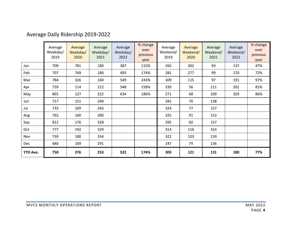## Average Daily Ridership 2019-2022

<span id="page-4-0"></span>

|                 | Average<br>Weekday/<br>2019 | Average<br>Weekday/<br>2020 | Average<br>Weekday/<br>2021 | Average<br>Weekday/<br>2022 | % change<br>over<br>previous<br>year | Average<br>Weekend/<br>2019 | Average<br>Weekend/<br>2020 | Average<br>Weekend/<br>2021 | Average<br>Weekend/<br>2022 | % change<br>over<br>previous<br>year |
|-----------------|-----------------------------|-----------------------------|-----------------------------|-----------------------------|--------------------------------------|-----------------------------|-----------------------------|-----------------------------|-----------------------------|--------------------------------------|
| Jan             | 709                         | 781                         | 180                         | 387                         | 115%                                 | 265                         | 302                         | 93                          | 137                         | 47%                                  |
| Feb             | 707                         | 769                         | 180                         | 493                         | 174%                                 | 281                         | 277                         | 99                          | 170                         | 72%                                  |
| Mar             | 784                         | 326                         | 160                         | 549                         | 243%                                 | 309                         | 115                         | 97                          | 191                         | 97%                                  |
| Apr             | 759                         | 114                         | 212                         | 548                         | 158%                                 | 339                         | 56                          | 111                         | 201                         | 81%                                  |
| May             | 801                         | 127                         | 222                         | 634                         | 186%                                 | 271                         | 68                          | 109                         | 203                         | 86%                                  |
| Jun             | 717                         | 151                         | 240                         |                             |                                      | 341                         | 70                          | 138                         |                             |                                      |
| Jul             | 733                         | 169                         | 243                         |                             |                                      | 324                         | 77                          | 157                         |                             |                                      |
| Aug             | 762                         | 160                         | 300                         |                             |                                      | 325                         | 91                          | 153                         |                             |                                      |
| Sep             | 812                         | 176                         | 328                         |                             |                                      | 295                         | 92                          | 157                         |                             |                                      |
| Oct             | 777                         | 192                         | 329                         |                             |                                      | 314                         | 116                         | 163                         |                             |                                      |
| Nov             | 759                         | 180                         | 354                         |                             |                                      | 322                         | 103                         | 159                         |                             |                                      |
| <b>Dec</b>      | 680                         | 169                         | 291                         |                             |                                      | 247                         | 79                          | 136                         |                             |                                      |
| <b>YTD Ave.</b> | 750                         | 276                         | 253                         | 522                         | 174%                                 | 303                         | 121                         | 131                         | 180                         | 77%                                  |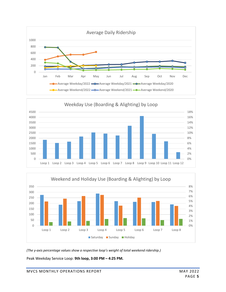





*(The y-axis percentage values show a respective loop's weight of total weekend ridership.)*

Peak Weekday Service Loop: **9th loop, 3:00 PM – 4:25 PM.**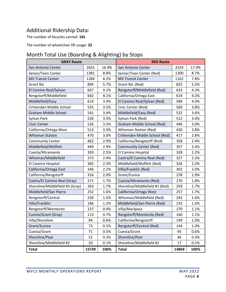#### <span id="page-6-0"></span>Additional Ridership Data:

The number of bicycles carried: **181**

The number of wheelchair lift usage: **32**

#### <span id="page-6-1"></span>Month Total Use (Boarding & Alighting) by Stops

| <b>GRAY Route</b>               |       |       | <b>RED Route</b>               |       |       |  |
|---------------------------------|-------|-------|--------------------------------|-------|-------|--|
| San Antonio Center              | 2655  | 16.9% | San Antonio Center             | 2524  | 17.0% |  |
| Senior/Teen Center              | 1381  | 8.8%  | Senior/Teen Center (Red)       | 1300  | 8.7%  |  |
| <b>MV Transit Center</b>        | 1284  | 8.2%  | <b>MV Transit Center</b>       | 1162  | 7.8%  |  |
| Grant Rd.                       | 894   | 5.7%  | Grant Rd. (Red)                | 825   | 5.5%  |  |
| El Camino Real/Sylvan           | 667   | 4.2%  | Rengstorff/Middlefield (Red)   | 633   | 4.3%  |  |
| Rengstorff/Middlefield          | 642   | 4.1%  | California/Ortega East         | 619   | 4.2%  |  |
| Middlefield/Easy                | 619   | 3.9%  | El Camino Real/Sylvan (Red)    | 589   | 4.0%  |  |
| Crittenden Middle School        | 555   | 3.5%  | Civic Center (Red)             | 569   | 3.8%  |  |
| <b>Graham Middle School</b>     | 541   | 3.4%  | Middlefield/Easy (Red)         | 532   | 3.6%  |  |
| Sylvan Park                     | 526   | 3.3%  | Sylvan Park (Red)              | 512   | 3.4%  |  |
| <b>Civic Center</b>             | 526   | 3.3%  | Graham Middle School (Red)     | 446   | 3.0%  |  |
| California/Ortega West          | 513   | 3.3%  | <b>Whisman Station (Red)</b>   | 420   | 2.8%  |  |
| <b>Whisman Station</b>          | 470   | 3.0%  | Crittenden Middle School (Red) | 417   | 2.8%  |  |
| <b>Community Center</b>         | 462   | 2.9%  | California/Rengstorff (Red)    | 358   | 2.4%  |  |
| Middlefield/Moffett             | 449   | 2.9%  | <b>Community Center (Red)</b>  | 357   | 2.4%  |  |
| Cuesta/Miramonte                | 393   | 2.5%  | El Camino Hospital             | 328   | 2.2%  |  |
| Whisman/Middlefield             | 373   | 2.4%  | Castro/El Camino Real (Red)    | 327   | 2.2%  |  |
| El Camino Hospital              | 365   | 2.3%  | Middlefield/Moffett (Red)      | 326   | 2.2%  |  |
| California/Ortega East          | 346   | 2.2%  | Villa/Franklin (Red)           | 302   | 2.0%  |  |
| California/Rengstorff           | 316   | 2.0%  | Grant/Eunice                   | 278   | 1.9%  |  |
| Castro/El Camino Real (Gray)    | 271   | 1.7%  | Cuesta/Miramonte (Red)         | 270   | 1.8%  |  |
| Shoreline/Middlefield #3 (Gray) | 263   | 1.7%  | Shoreline/Middlefield #1 (Red) | 259   | 1.7%  |  |
| Middlefield/San Pierre          | 252   | 1.6%  | California/Ortega West         | 257   | 1.7%  |  |
| Rengstorff/Central              | 230   | 1.5%  | Whisman/Middlefield (Red)      | 243   | 1.6%  |  |
| Villa/Franklin                  | 186   | 1.2%  | Middlefield/San Pierre (Red)   | 235   | 1.6%  |  |
| Rengstorff/Montecito            | 137   | 0.9%  | Villa/Mariposa                 | 170   | 1.1%  |  |
| Cuesta/Grant (Gray)             | 113   | 0.7%  | Rengstorff/Montecito (Red)     | 160   | 1.1%  |  |
| Villa/Shoreline                 | 94    | 0.6%  | California/Rengstorff          | 149   | 1.0%  |  |
| Grant/Eunice                    | 73    | 0.5%  | Rengstorff/Central (Red)       | 144   | 1.0%  |  |
| Cuesta/Grant                    | 71    | 0.5%  | Cuesta/Grant                   | 95    | 0.6%  |  |
| Shoreline/Pear                  | 52    | 0.3%  | Shoreline/Pear                 | 46    | 0.3%  |  |
| Shoreline/Middlefield #2        | 20    | 0.1%  | Shoreline/Middlefield #2       | 17    | 0.1%  |  |
| <b>Total</b>                    | 15739 | 100%  | <b>Total</b>                   | 14869 | 100%  |  |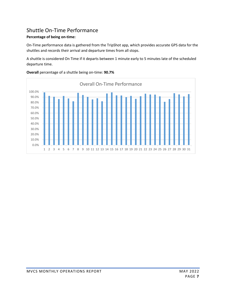#### <span id="page-7-0"></span>Shuttle On-Time Performance

#### **Percentage of being on-time:**

On-Time performance data is gathered from the TripShot app, which provides accurate GPS data for the shuttles and records their arrival and departure times from all stops.

A shuttle is considered On Time if it departs between 1 minute early to 5 minutes late of the scheduled departure time.



**Overall** percentage of a shuttle being on-time: **90.7%**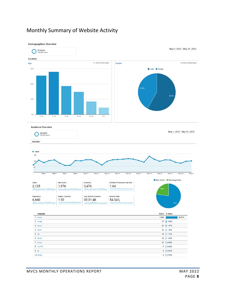#### <span id="page-8-0"></span>Monthly Summary of Website Activity

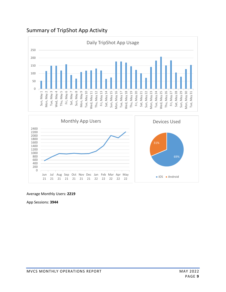#### <span id="page-9-0"></span>Summary of TripShot App Activity





#### Average Monthly Users: **2219**

App Sessions: **3944**